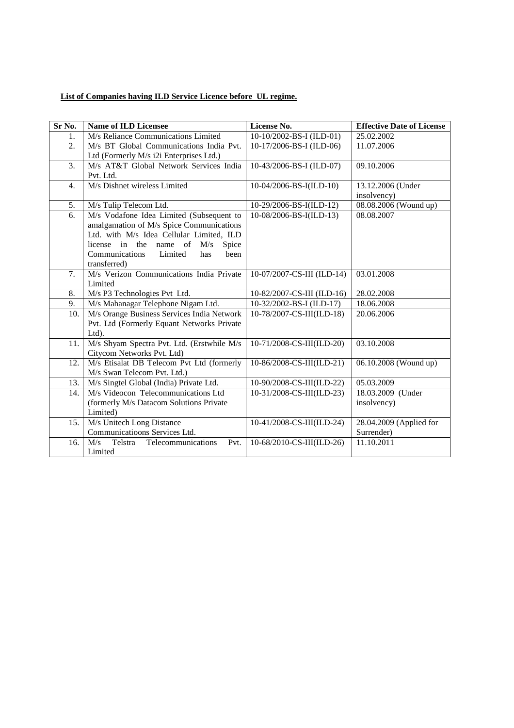## **List of Companies having ILD Service Licence before UL regime.**

| Sr No.           | <b>Name of ILD Licensee</b>                  | License No.                | <b>Effective Date of License</b> |
|------------------|----------------------------------------------|----------------------------|----------------------------------|
| 1.               | M/s Reliance Communications Limited          | 10-10/2002-BS-I (ILD-01)   | 25.02.2002                       |
| 2.               | M/s BT Global Communications India Pvt.      | 10-17/2006-BS-I (ILD-06)   | 11.07.2006                       |
|                  | Ltd (Formerly M/s i2i Enterprises Ltd.)      |                            |                                  |
| 3.               | M/s AT&T Global Network Services India       | 10-43/2006-BS-I (ILD-07)   | 09.10.2006                       |
|                  | Pvt. Ltd.                                    |                            |                                  |
| $\overline{4}$ . | M/s Dishnet wireless Limited                 | 10-04/2006-BS-I(ILD-10)    | 13.12.2006 (Under                |
|                  |                                              |                            | insolvency)                      |
| 5.               | M/s Tulip Telecom Ltd.                       | 10-29/2006-BS-I(ILD-12)    | 08.08.2006 (Wound up)            |
| 6.               | M/s Vodafone Idea Limited (Subsequent to     | 10-08/2006-BS-I(ILD-13)    | 08.08.2007                       |
|                  | amalgamation of M/s Spice Communications     |                            |                                  |
|                  | Ltd. with M/s Idea Cellular Limited, ILD     |                            |                                  |
|                  | license in the name of<br>M/s<br>Spice       |                            |                                  |
|                  | Communications<br>Limited<br>has<br>been     |                            |                                  |
|                  | transferred)                                 |                            |                                  |
| 7.               | M/s Verizon Communications India Private     | 10-07/2007-CS-III (ILD-14) | 03.01.2008                       |
|                  | Limited                                      |                            |                                  |
| 8.               | M/s P3 Technologies Pvt Ltd.                 | 10-82/2007-CS-III (ILD-16) | 28.02.2008                       |
| 9.               | M/s Mahanagar Telephone Nigam Ltd.           | 10-32/2002-BS-I (ILD-17)   | 18.06.2008                       |
| 10.              | M/s Orange Business Services India Network   | 10-78/2007-CS-III(ILD-18)  | 20.06.2006                       |
|                  | Pvt. Ltd (Formerly Equant Networks Private   |                            |                                  |
|                  | Ltd).                                        |                            |                                  |
| 11.              | M/s Shyam Spectra Pvt. Ltd. (Erstwhile M/s   | 10-71/2008-CS-III(ILD-20)  | 03.10.2008                       |
|                  | Citycom Networks Pvt. Ltd)                   |                            |                                  |
| 12.              | M/s Etisalat DB Telecom Pvt Ltd (formerly    | 10-86/2008-CS-III(ILD-21)  | 06.10.2008 (Wound up)            |
|                  | M/s Swan Telecom Pvt. Ltd.)                  |                            |                                  |
| 13.              | M/s Singtel Global (India) Private Ltd.      | 10-90/2008-CS-III(ILD-22)  | 05.03.2009                       |
| 14.              | M/s Videocon Telecommunications Ltd          | 10-31/2008-CS-III(ILD-23)  | 18.03.2009 (Under                |
|                  | (formerly M/s Datacom Solutions Private      |                            | insolvency)                      |
|                  | Limited)                                     |                            |                                  |
| 15.              | M/s Unitech Long Distance                    | 10-41/2008-CS-III(ILD-24)  | 28.04.2009 (Applied for          |
|                  | Communicatioons Services Ltd.                |                            | Surrender)                       |
| 16.              | Telstra<br>Telecommunications<br>M/s<br>Pvt. | 10-68/2010-CS-III(ILD-26)  | 11.10.2011                       |
|                  | Limited                                      |                            |                                  |